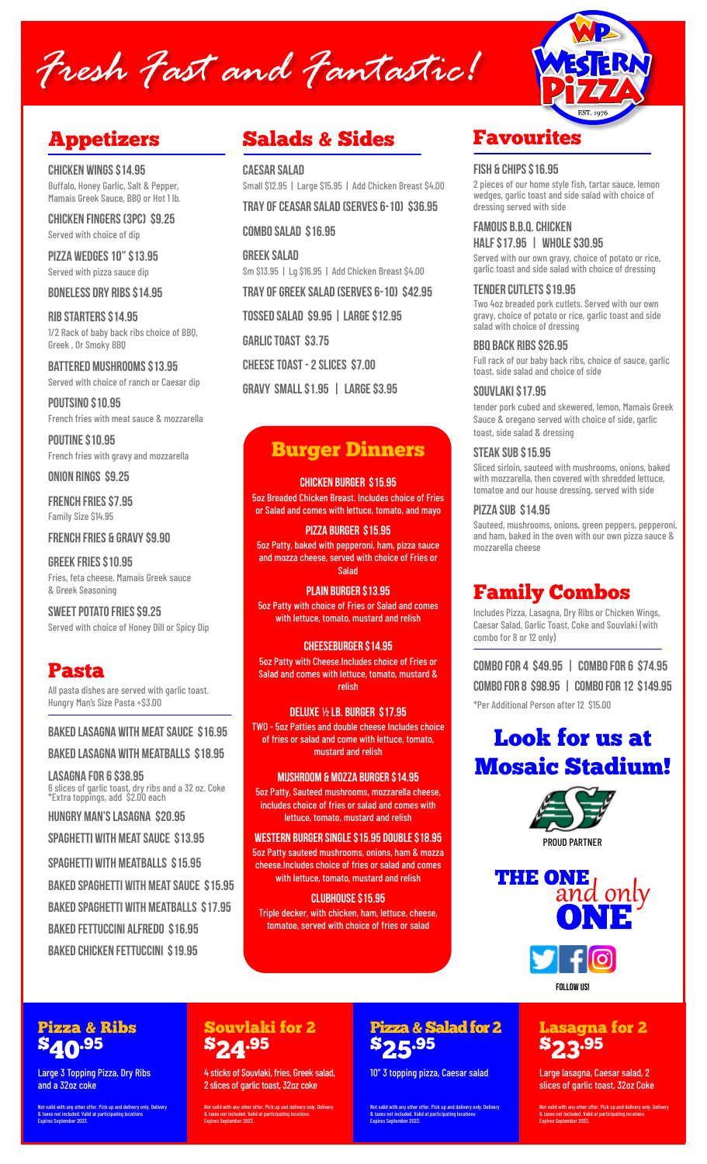# Fresh Fast and Fantastic!



**Chicken Wings \$14.95** Buffalo, Honey Garlic, Salt & Pepper, Mamais Greek Sauce, BBQ or Hot 1 lb.

**Chicken Fingers (3pc) \$9.25** Served with choice of dip

**Pizza Wedges 10" \$13.95** Served with pizza sauce dip

**Boneless Dry Ribs \$14.95**

**Rib Starters \$14.95** 1/2 Rack of baby back ribs choice of BBQ, Greek , Or Smoky BBQ

**Battered Mushrooms \$13.95** Served with choice of ranch or Caesar dip

**Poutsino \$10.95** French fries with meat sauce & mozzarella

**POUTINE \$10.95** French fries with gravy and mozzarella

**Onion Rings \$9.25**

**French Fries \$7.95** Family Size \$14.95

**French Fries & gRAVY \$9.90**

**Greek Fries \$10.95** Fries, feta cheese, Mamais Greek sauce & Greek Seasoning

**Sweet Potato Fries \$9.25** Served with choice of Honey Dill or Spicy Dip

### Pasta

All pasta dishes are served with garlic toast. Hungry Man's Size Pasta +\$3.00

#### **Baked Lasagna with Meat Sauce \$16.95**

**Baked Lasagna with Meatballs \$18.95**

**Lasagna for 6 \$38.95**  6 slices of garlic toast, dry ribs and a 32 oz. Coke \*Extra toppings, add \$2.00 each

**Hungry Man's Lasagna \$20.95**

**Spaghetti with Meat Sauce \$13.95**

**Spaghetti with Meatballs \$15.95**

**Baked Spaghetti with Meat Sauce \$15.95**

**Baked Spaghetti with Meatballs \$17.95**

**Baked Fettuccini Alfredo \$16.95**

**Baked Chicken Fettuccini \$19.95**

### Appetizers Salads & Sides Favourites

**Caesar Salad**  Small \$12.95 | Large \$15.95 | Add Chicken Breast \$4.00 **TRAY OF Ceasar Salad (SERVES 6-10) \$36.95**

**Combo Salad \$16.95**

**Greek Salad** Sm \$13.95 | Lg \$16.95 | Add Chicken Breast \$4.00

**TRAY OF Greek Salad (SERVES 6-10) \$42.95** 

**Garlic Toast \$3.75**

**Cheese Toast - 2 slices \$7.00**

**Tossed Salad \$9.95 | Large \$12.95**

**Gravy Small \$1.95 | Large \$3.95**

### Burger Dinners

### **CHICKEN Burger** \$15.95

5oz Breaded Chicken Breast. Includes choice of Fries or Salad and comes with lettuce, tomato, and mayo

#### **Pizza Burger** \$15.95

5oz Patty, baked with pepperoni, ham, pizza sauce and mozza cheese, served with choice of Fries or Salad

**Plain Burger** \$13.95 5oz Patty with choice of Fries or Salad and comes with lettuce, tomato, mustard and relish

#### **Cheeseburger \$14.95**

5oz Patty with Cheese.Includes choice of Fries or Salad and comes with lettuce, tomato, mustard & relish

#### **Deluxe ½ lb. Burger** \$17.95

TWO - 5oz Patties and double cheese Includes choice of fries or salad and come with lettuce, tomato, mustard and relish

#### **Mushroom & Mozza Burger \$14.95**

5oz Patty, Sauteed mushrooms, mozzarella cheese, includes choice of fries or salad and comes with lettuce, tomato, mustard and relish

**Western Burger single \$15.95 double \$18.95** 5oz Patty sauteed mushrooms, onions, ham & mozza cheese.Includes choice of fries or salad and comes with lettuce, tomato, mustard and relish

**clubhouse \$15.95**

Triple decker, with chicken, ham, lettuce, cheese, tomatoe, served with choice of fries or salad

#### **Fish & Chips \$16.95**

2 pieces of our home style fish, tartar sauce, lemon wedges, garlic toast and side salad with choice of dressing served with side

**Famous B.B.Q. Chicken Half \$17.95 | Whole \$30.95**

Served with our own gravy, choice of potato or rice, garlic toast and side salad with choice of dressing

#### **Tender Cutlets \$19.95**

Two 4oz breaded pork cutlets. Served with our own gravy, choice of potato or rice, garlic toast and side salad with choice of dressing

**BBQ back Ribs \$26.95**

Full rack of our baby back ribs, choice of sauce, garlic toast, side salad and choice of side

#### **Souvlaki \$17.95**

tender pork cubed and skewered, lemon, Mamais Greek Sauce & oregano served with choice of side, garlic toast, side salad & dressing

#### **Steak Sub \$15.95**

Sliced sirloin, sauteed with mushrooms, onions, baked with mozzarella, then covered with shredded lettuce. tomatoe and our house dressing, served with side

#### **Pizza Sub \$14.95**

Sauteed, mushrooms, onions, green peppers, pepperoni, and ham, baked in the oven with our own pizza sauce & mozzarella cheese

### Family Combos

Includes Pizza, Lasagna, Dry Ribs or Chicken Wings, Caesar Salad, Garlic Toast, Coke and Souvlaki (with combo for 8 or 12 only)

**Combo for 4 \$49.95 | Combo for 6 \$74.95 Combo for 8 \$98.95 | Combo for 12 \$149.95** \*Per Additional Person after 12 \$15.00

## Look for us at Mosaic Stadium!



**THE ONE** and only

#### FOLLOW US!

### Lasagna for 2 \$23.95

Large lasagna, Caesar salad, 2 slices of garlic toast, 32oz Coke

Not valid with any other offer. Pick up and delivery only. Delivery & taxes not included. Valid at participating locations Expires September 2023.

#### \$40.95 Large 3 Topping Pizza, Dry Ribs and a 32oz coke

Pizza & Ribs

Not valid with any other offer. Pick up and delivery only. Delivery & taxes not included. Valid at participating locations Expires September 2023.

# \$24.95

Souvlaki for 2

4 sticks of Souvlaki, fries, Greek salad, 2 slices of garlic toast, 32oz coke

Not valid with any other offer. Pick up and delivery only. Delivery & taxes not included. Valid at participating locations Expires September 2023.

### Pizza & Salad for 2 \$25.95

10" 3 topping pizza, Caesar salad

Not valid with any other offer. Pick up and delivery only. Delivery & taxes not included. Valid at participating locations Expires September 2023.